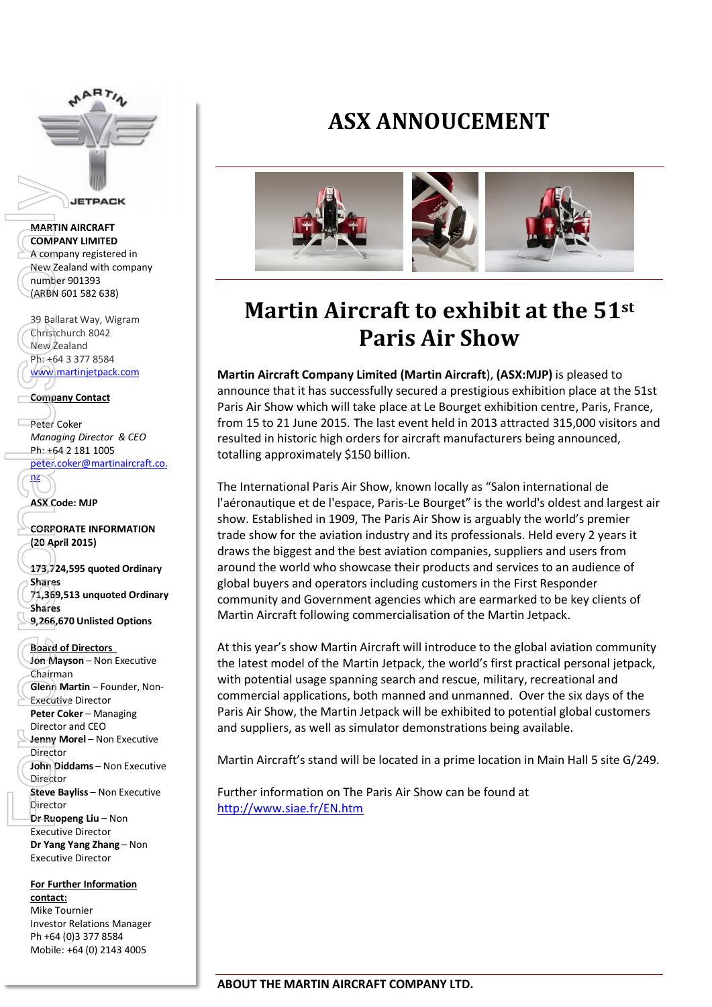

#### **MARTIN AIRCRAFT COMPANY LIMITED** A company registered in New Zealand with company number 901393 (ARBN 601 582 638)

39 Ballarat Way, Wigram Christchurch 8042 New Zealand Ph: +64 3 377 8584 [www.martinjetpack.com](http://www.martinjetpack.com/)

### **Company Contact**

Peter Coker *Managing Director & CEO* Ph: +64 2 181 1005

[peter.coker@martinaircraft.co.](mailto:peter.coker@martinaircraft.co.nz) nz

**ASX Code: MJP**

**CORPORATE INFORMATION (20 April 2015)** 

**173,724,595 quoted Ordinary Shares 71,369,513 unquoted Ordinary Shares 9,266,670 Unlisted Options**

#### **Board of Directors**

**Jon Mayson** – Non Executive Chairman **Glenn Martin** – Founder, Non-Executive Director **Peter Coker** – Managing Director and CEO **Jenny Morel** – Non Executive **Director John Diddams** – Non Executive Director **Steve Bayliss** – Non Executive Director **Dr Ruopeng Liu** – Non Executive Director **Dr Yang Yang Zhang** – Non Executive Director **MARTIN AIRCRAFT**<br>
MARTIN AIRCRAFT<br>
COMPANY LIMITED<br>
A comp[a](mailto:peter.coker@martinaircraft.co.nz)n[y](http://www.google.com.au/url?sa=i&rct=j&q=&esrc=s&frm=1&source=images&cd=&cad=rja&uact=8&docid=aKDxLWePo_Nc8M&tbnid=QS2NV3mJtBUA5M:&ved=0CAUQjRw&url=http://www.indigolyon.com/4/innovations/29/martin-jetpack/&ei=lnmqU9OrKdWfugSSmICgDQ&bvm=bv.69620078,d.dGI&psig=AFQjCNH2uw5oupCtcDP4OOk14eEdE8MNYQ&ust=1403767528894201) registered in<br>
New Zealand with company<br>
(number 901393<br>
(ARBN 601582638)<br>
39 Ballarat Way, Wigram<br>
Company Contact<br>
Mew Zealand<br>
Ph: +64 3 377 8584<br>
Company C

**For Further Information contact:** Mike Tournier Investor Relations Manager Ph +64 (0)3 377 8584 Mobile: +64 (0) 2143 4005

## **ASX ANNOUCEMENT**



# **Martin Aircraft to exhibit at the 51st Paris Air Show**

**Martin Aircraft Company Limited (Martin Aircraft**), **(ASX:MJP)** is pleased to announce that it has successfully secured a prestigious exhibition place at the 51st Paris Air Show which will take place at Le Bourget exhibition centre, Paris, France, from 15 to 21 June 2015. The last event held in 2013 attracted 315,000 visitors and resulted in historic high orders for aircraft manufacturers being announced, totalling approximately \$150 billion.

The International Paris Air Show, known locally as "Salon international de l'aéronautique et de l'espace, Paris-Le Bourget" is the world's oldest and largest air show. Established in 1909, The Paris Air Show is arguably the world's premier trade show for the aviation industry and its professionals. Held every 2 years it draws the biggest and the best aviation companies, suppliers and users from around the world who showcase their products and services to an audience of global buyers and operators including customers in the First Responder community and Government agencies which are earmarked to be key clients of Martin Aircraft following commercialisation of the Martin Jetpack.

At this year's show Martin Aircraft will introduce to the global aviation community the latest model of the Martin Jetpack, the world's first practical personal jetpack, with potential usage spanning search and rescue, military, recreational and commercial applications, both manned and unmanned. Over the six days of the Paris Air Show, the Martin Jetpack will be exhibited to potential global customers and suppliers, as well as simulator demonstrations being available.

Martin Aircraft's stand will be located in a prime location in Main Hall 5 site G/249.

Further information on The Paris Air Show can be found at <http://www.siae.fr/EN.htm>